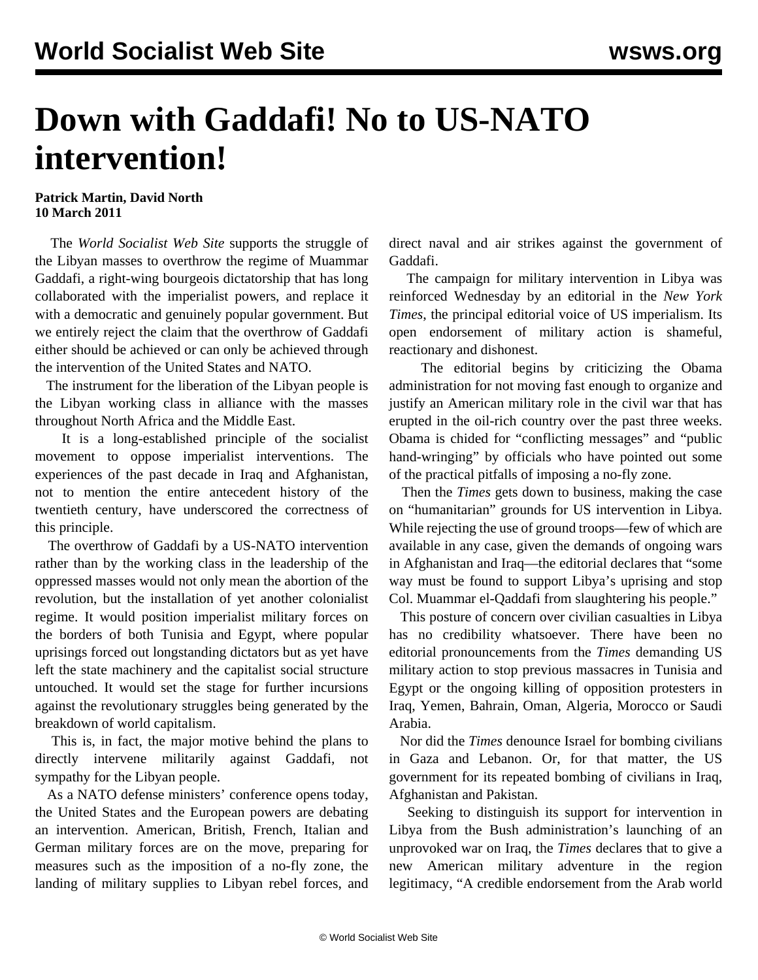## **Down with Gaddafi! No to US-NATO intervention!**

## **Patrick Martin, David North 10 March 2011**

 The *World Socialist Web Site* supports the struggle of the Libyan masses to overthrow the regime of Muammar Gaddafi, a right-wing bourgeois dictatorship that has long collaborated with the imperialist powers, and replace it with a democratic and genuinely popular government. But we entirely reject the claim that the overthrow of Gaddafi either should be achieved or can only be achieved through the intervention of the United States and NATO.

 The instrument for the liberation of the Libyan people is the Libyan working class in alliance with the masses throughout North Africa and the Middle East.

 It is a long-established principle of the socialist movement to oppose imperialist interventions. The experiences of the past decade in Iraq and Afghanistan, not to mention the entire antecedent history of the twentieth century, have underscored the correctness of this principle.

 The overthrow of Gaddafi by a US-NATO intervention rather than by the working class in the leadership of the oppressed masses would not only mean the abortion of the revolution, but the installation of yet another colonialist regime. It would position imperialist military forces on the borders of both Tunisia and Egypt, where popular uprisings forced out longstanding dictators but as yet have left the state machinery and the capitalist social structure untouched. It would set the stage for further incursions against the revolutionary struggles being generated by the breakdown of world capitalism.

 This is, in fact, the major motive behind the plans to directly intervene militarily against Gaddafi, not sympathy for the Libyan people.

 As a NATO defense ministers' conference opens today, the United States and the European powers are debating an intervention. American, British, French, Italian and German military forces are on the move, preparing for measures such as the imposition of a no-fly zone, the landing of military supplies to Libyan rebel forces, and direct naval and air strikes against the government of Gaddafi.

 The campaign for military intervention in Libya was reinforced Wednesday by an editorial in the *New York Times*, the principal editorial voice of US imperialism. Its open endorsement of military action is shameful, reactionary and dishonest.

 The editorial begins by criticizing the Obama administration for not moving fast enough to organize and justify an American military role in the civil war that has erupted in the oil-rich country over the past three weeks. Obama is chided for "conflicting messages" and "public hand-wringing" by officials who have pointed out some of the practical pitfalls of imposing a no-fly zone.

 Then the *Times* gets down to business, making the case on "humanitarian" grounds for US intervention in Libya. While rejecting the use of ground troops—few of which are available in any case, given the demands of ongoing wars in Afghanistan and Iraq—the editorial declares that "some way must be found to support Libya's uprising and stop Col. Muammar el-Qaddafi from slaughtering his people."

 This posture of concern over civilian casualties in Libya has no credibility whatsoever. There have been no editorial pronouncements from the *Times* demanding US military action to stop previous massacres in Tunisia and Egypt or the ongoing killing of opposition protesters in Iraq, Yemen, Bahrain, Oman, Algeria, Morocco or Saudi Arabia.

 Nor did the *Times* denounce Israel for bombing civilians in Gaza and Lebanon. Or, for that matter, the US government for its repeated bombing of civilians in Iraq, Afghanistan and Pakistan.

 Seeking to distinguish its support for intervention in Libya from the Bush administration's launching of an unprovoked war on Iraq, the *Times* declares that to give a new American military adventure in the region legitimacy, "A credible endorsement from the Arab world